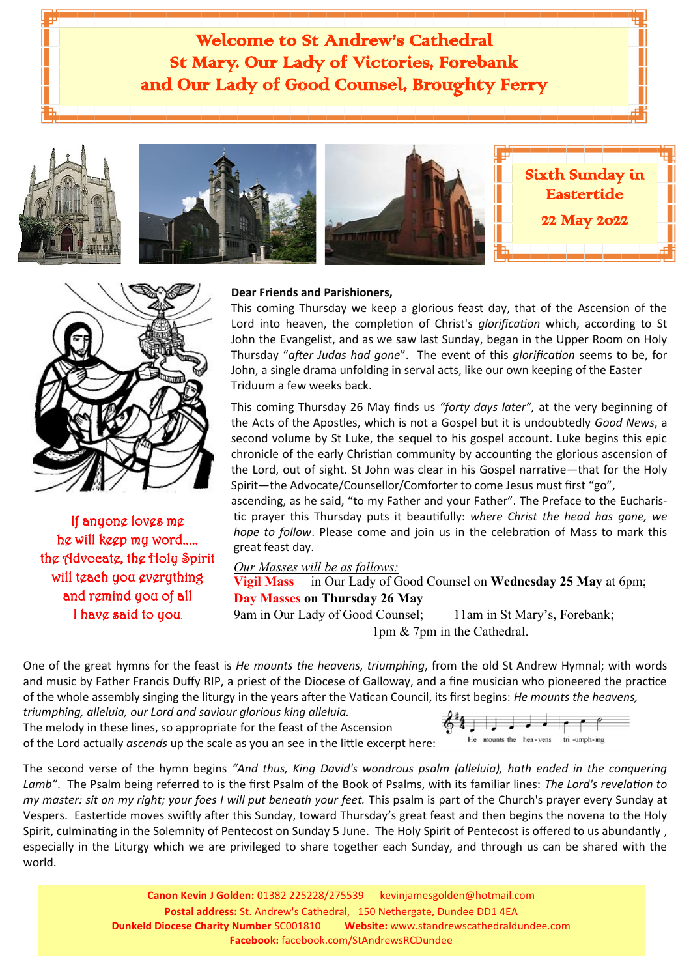







Sixth Sunday in Eastertide 22 May 2022



If anyone loves me he will keep my word..... the Advocate, the Holy Spirit will teach you everything and remind you of all I have said to you.

#### **Dear Friends and Parishioners,**

This coming Thursday we keep a glorious feast day, that of the Ascension of the Lord into heaven, the completion of Christ's *glorification* which, according to St John the Evangelist, and as we saw last Sunday, began in the Upper Room on Holy Thursday "*after Judas had gone*". The event of this *glorification* seems to be, for John, a single drama unfolding in serval acts, like our own keeping of the Easter Triduum a few weeks back.

This coming Thursday 26 May finds us *"forty days later",* at the very beginning of the Acts of the Apostles, which is not a Gospel but it is undoubtedly *Good News*, a second volume by St Luke, the sequel to his gospel account. Luke begins this epic chronicle of the early Christian community by accounting the glorious ascension of the Lord, out of sight. St John was clear in his Gospel narrative—that for the Holy Spirit—the Advocate/Counsellor/Comforter to come Jesus must first "go",

ascending, as he said, "to my Father and your Father". The Preface to the Eucharistic prayer this Thursday puts it beautifully: *where Christ the head has gone, we hope to follow*. Please come and join us in the celebration of Mass to mark this great feast day.

#### *Our Masses will be as follows:*

**Vigil Mass** in Our Lady of Good Counsel on **Wednesday 25 May** at 6pm; **Day Masses on Thursday 26 May** 

9am in Our Lady of Good Counsel; 11am in St Mary's, Forebank; 1pm & 7pm in the Cathedral.

One of the great hymns for the feast is *He mounts the heavens, triumphing*, from the old St Andrew Hymnal; with words and music by Father Francis Duffy RIP, a priest of the Diocese of Galloway, and a fine musician who pioneered the practice of the whole assembly singing the liturgy in the years after the Vatican Council, its first begins: *He mounts the heavens, triumphing, alleluia, our Lord and saviour glorious king alleluia.* 

The melody in these lines, so appropriate for the feast of the Ascension of the Lord actually *ascends* up the scale as you an see in the little excerpt here:



The second verse of the hymn begins *"And thus, King David's wondrous psalm (alleluia), hath ended in the conquering Lamb"*. The Psalm being referred to is the first Psalm of the Book of Psalms, with its familiar lines: *The Lord's revelation to my master: sit on my right; your foes I will put beneath your feet.* This psalm is part of the Church's prayer every Sunday at Vespers. Eastertide moves swiftly after this Sunday, toward Thursday's great feast and then begins the novena to the Holy Spirit, culminating in the Solemnity of Pentecost on Sunday 5 June. The Holy Spirit of Pentecost is offered to us abundantly , especially in the Liturgy which we are privileged to share together each Sunday, and through us can be shared with the world.

> **Canon Kevin J Golden:** 01382 225228/275539 kevinjamesgolden@hotmail.com **Postal address:** St. Andrew's Cathedral, 150 Nethergate, Dundee DD1 4EA **Dunkeld Diocese Charity Number** SC001810 **Website:** www.standrewscathedraldundee.com **Facebook:** facebook.com/StAndrewsRCDundee